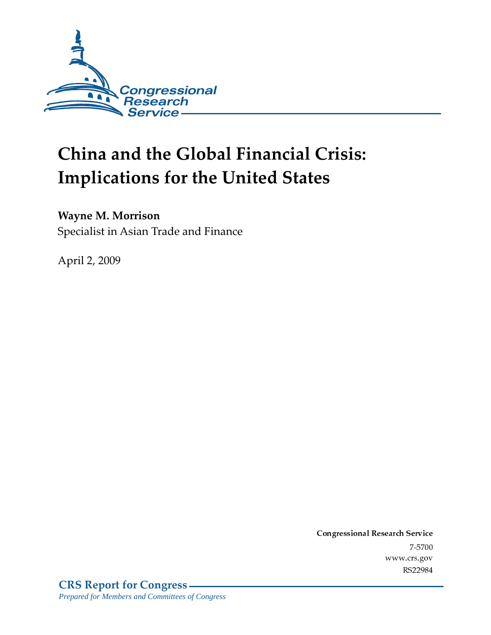

# China and the Global Financial Crisis: **Implications for the United States**

#### **Wayne M. Morrison**

Specialist in Asian Trade and Finance

April 2, 2009

Conglessional Research Service  $7 - 2700$ www.cis.gov RS22984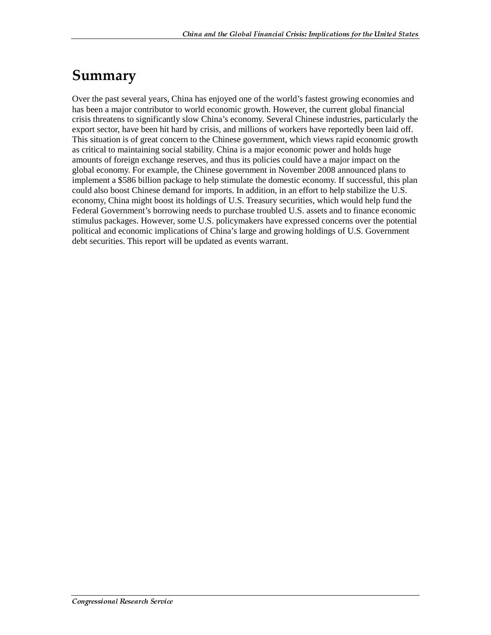### Summary

Over the past several years, China has enjoyed one of the world's fastest growing economies and has been a major contributor to world economic growth. However, the current global financial crisis threatens to significantly slow China's economy. Several Chinese industries, particularly the export sector, have been hit hard by crisis, and millions of workers have reportedly been laid off. This situation is of great concern to the Chinese government, which views rapid economic growth as critical to maintaining social stability. China is a major economic power and holds huge amounts of foreign exchange reserves, and thus its policies could have a major impact on the global economy. For example, the Chinese government in November 2008 announced plans to implement a \$586 billion package to help stimulate the domestic economy. If successful, this plan could also boost Chinese demand for imports. In addition, in an effort to help stabilize the U.S. economy, China might boost its holdings of U.S. Treasury securities, which would help fund the Federal Government's borrowing needs to purchase troubled U.S. assets and to finance economic stimulus packages. However, some U.S. policymakers have expressed concerns over the potential political and economic implications of China's large and growing holdings of U.S. Government debt securities. This report will be updated as events warrant.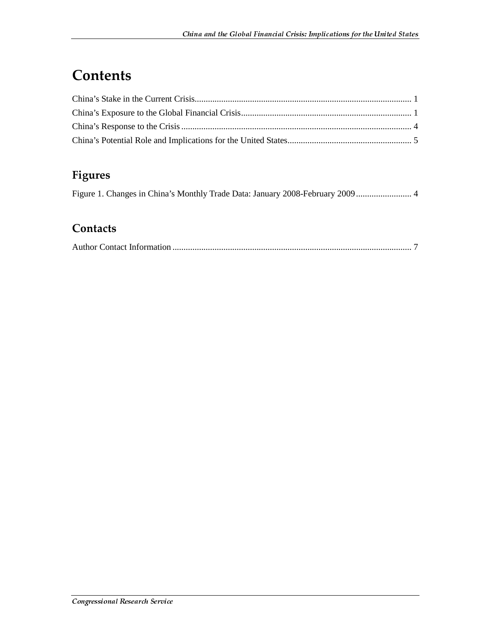# **Contents**

#### Figures

#### **Contacts**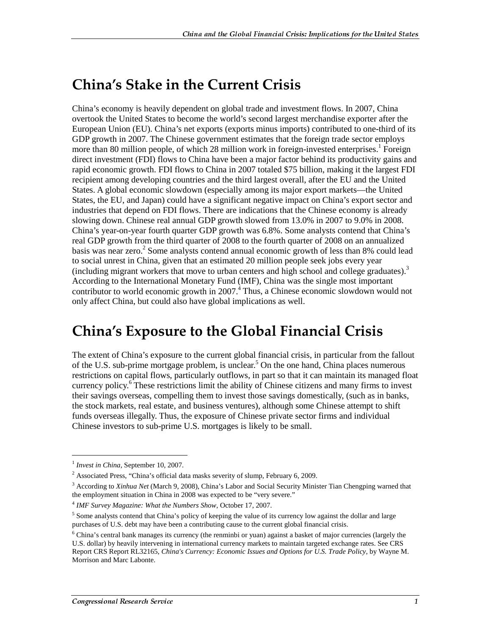### **China's Stake in the Current Crisis**

China's economy is heavily dependent on global trade and investment flows. In 2007, China overtook the United States to become the world's second largest merchandise exporter after the European Union (EU). China's net exports (exports minus imports) contributed to one-third of its GDP growth in 2007. The Chinese government estimates that the foreign trade sector employs more than 80 million people, of which 28 million work in foreign-invested enterprises.<sup>1</sup> Foreign direct investment (FDI) flows to China have been a major factor behind its productivity gains and rapid economic growth. FDI flows to China in 2007 totaled \$75 billion, making it the largest FDI recipient among developing countries and the third largest overall, after the EU and the United States. A global economic slowdown (especially among its major export markets—the United States, the EU, and Japan) could have a significant negative impact on China's export sector and industries that depend on FDI flows. There are indications that the Chinese economy is already slowing down. Chinese real annual GDP growth slowed from 13.0% in 2007 to 9.0% in 2008. China's year-on-year fourth quarter GDP growth was 6.8%. Some analysts contend that China's real GDP growth from the third quarter of 2008 to the fourth quarter of 2008 on an annualized basis was near zero.<sup>2</sup> Some analysts contend annual economic growth of less than 8% could lead to social unrest in China, given that an estimated 20 million people seek jobs every year (including migrant workers that move to urban centers and high school and college graduates). $3$ According to the International Monetary Fund (IMF), China was the single most important contributor to world economic growth in 2007.<sup>4</sup> Thus, a Chinese economic slowdown would not only affect China, but could also have global implications as well.

### **China's Exposure to the Global Financial Crisis**

The extent of China's exposure to the current global financial crisis, in particular from the fallout of the U.S. sub-prime mortgage problem, is unclear.<sup>5</sup> On the one hand, China places numerous restrictions on capital flows, particularly outflows, in part so that it can maintain its managed float currency policy.<sup>6</sup> These restrictions limit the ability of Chinese citizens and many firms to invest their savings overseas, compelling them to invest those savings domestically, (such as in banks, the stock markets, real estate, and business ventures), although some Chinese attempt to shift funds overseas illegally. Thus, the exposure of Chinese private sector firms and individual Chinese investors to sub-prime U.S. mortgages is likely to be small.

<sup>&</sup>lt;sup>1</sup> *Invest in China*, September 10, 2007.

 $2$  Associated Press, "China's official data masks severity of slump, February 6, 2009.

<sup>3</sup> According to *Xinhua Net* (March 9, 2008), China's Labor and Social Security Minister Tian Chengping warned that the employment situation in China in 2008 was expected to be "very severe."

<sup>4</sup> *IMF Survey Magazine: What the Numbers Show*, October 17, 2007.

<sup>&</sup>lt;sup>5</sup> Some analysts contend that China's policy of keeping the value of its currency low against the dollar and large purchases of U.S. debt may have been a contributing cause to the current global financial crisis.

<sup>&</sup>lt;sup>6</sup> China's central bank manages its currency (the renminbi or yuan) against a basket of major currencies (largely the U.S. dollar) by heavily intervening in international currency markets to maintain targeted exchange rates. See CRS Report CRS Report RL32165, *China's Currency: Economic Issues and Options for U.S. Trade Policy*, by Wayne M. Morrison and Marc Labonte.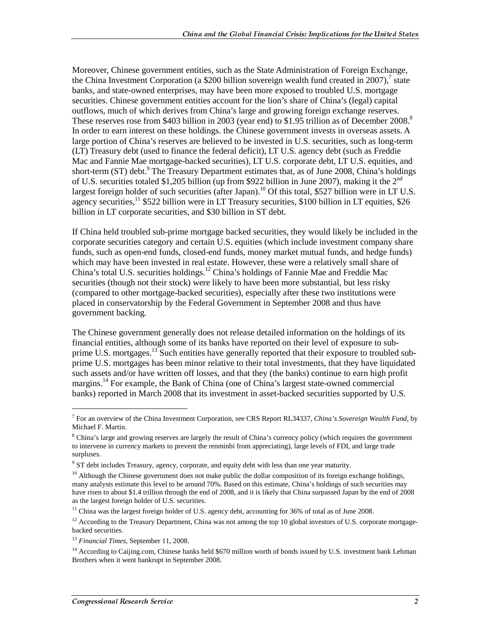Moreover, Chinese government entities, such as the State Administration of Foreign Exchange, the China Investment Corporation (a \$200 billion sovereign wealth fund created in 2007),<sup>7</sup> state banks, and state-owned enterprises, may have been more exposed to troubled U.S. mortgage securities. Chinese government entities account for the lion's share of China's (legal) capital outflows, much of which derives from China's large and growing foreign exchange reserves. These reserves rose from \$403 billion in 2003 (year end) to \$1.95 trillion as of December 2008.<sup>8</sup> In order to earn interest on these holdings. the Chinese government invests in overseas assets. A large portion of China's reserves are believed to be invested in U.S. securities, such as long-term (LT) Treasury debt (used to finance the federal deficit), LT U.S. agency debt (such as Freddie Mac and Fannie Mae mortgage-backed securities), LT U.S. corporate debt, LT U.S. equities, and short-term (ST) debt.<sup>9</sup> The Treasury Department estimates that, as of June 2008, China's holdings of U.S. securities totaled \$1,205 billion (up from \$922 billion in June 2007), making it the  $2<sup>nd</sup>$ largest foreign holder of such securities (after Japan).<sup>10</sup> Of this total, \$527 billion were in LT U.S. agency securities,  $11$  \$522 billion were in LT Treasury securities, \$100 billion in LT equities, \$26 billion in LT corporate securities, and \$30 billion in ST debt.

If China held troubled sub-prime mortgage backed securities, they would likely be included in the corporate securities category and certain U.S. equities (which include investment company share funds, such as open-end funds, closed-end funds, money market mutual funds, and hedge funds) which may have been invested in real estate. However, these were a relatively small share of China's total U.S. securities holdings.12 China's holdings of Fannie Mae and Freddie Mac securities (though not their stock) were likely to have been more substantial, but less risky (compared to other mortgage-backed securities), especially after these two institutions were placed in conservatorship by the Federal Government in September 2008 and thus have government backing.

The Chinese government generally does not release detailed information on the holdings of its financial entities, although some of its banks have reported on their level of exposure to subprime U.S. mortgages.<sup>13</sup> Such entities have generally reported that their exposure to troubled subprime U.S. mortgages has been minor relative to their total investments, that they have liquidated such assets and/or have written off losses, and that they (the banks) continue to earn high profit margins.<sup>14</sup> For example, the Bank of China (one of China's largest state-owned commercial banks) reported in March 2008 that its investment in asset-backed securities supported by U.S.

 $12$  According to the Treasury Department, China was not among the top 10 global investors of U.S. corporate mortgagebacked securities.

<sup>7</sup> For an overview of the China Investment Corporation, see CRS Report RL34337, *China's Sovereign Wealth Fund*, by Michael F. Martin.

<sup>&</sup>lt;sup>8</sup> China's large and growing reserves are largely the result of China's currency policy (which requires the government to intervene in currency markets to prevent the renminbi from appreciating), large levels of FDI, and large trade surpluses.

<sup>&</sup>lt;sup>9</sup> ST debt includes Treasury, agency, corporate, and equity debt with less than one year maturity.

 $10$  Although the Chinese government does not make public the dollar composition of its foreign exchange holdings, many analysts estimate this level to be around 70%. Based on this estimate, China's holdings of such securities may have risen to about \$1.4 trillion through the end of 2008, and it is likely that China surpassed Japan by the end of 2008 as the largest foreign holder of U.S. securities.

<sup>&</sup>lt;sup>11</sup> China was the largest foreign holder of U.S. agency debt, accounting for 36% of total as of June 2008.

<sup>13</sup> *Financial Times*, September 11, 2008.

<sup>&</sup>lt;sup>14</sup> According to Caijing.com, Chinese banks held \$670 million worth of bonds issued by U.S. investment bank Lehman Brothers when it went bankrupt in September 2008.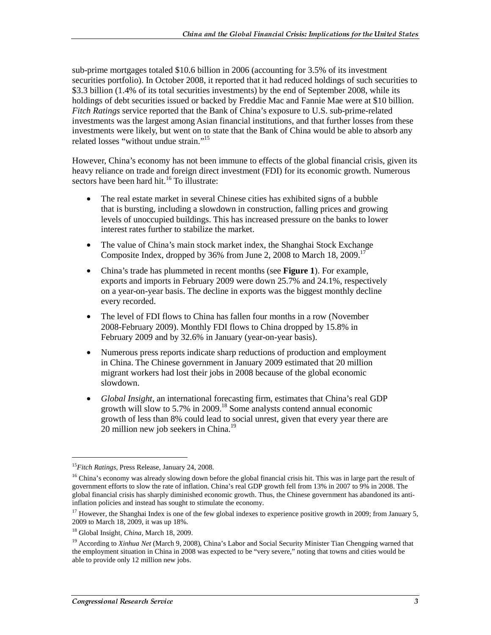sub-prime mortgages totaled \$10.6 billion in 2006 (accounting for 3.5% of its investment securities portfolio). In October 2008, it reported that it had reduced holdings of such securities to \$3.3 billion (1.4% of its total securities investments) by the end of September 2008, while its holdings of debt securities issued or backed by Freddie Mac and Fannie Mae were at \$10 billion. *Fitch Ratings* service reported that the Bank of China's exposure to U.S. sub-prime-related investments was the largest among Asian financial institutions, and that further losses from these investments were likely, but went on to state that the Bank of China would be able to absorb any related losses "without undue strain."15

However, China's economy has not been immune to effects of the global financial crisis, given its heavy reliance on trade and foreign direct investment (FDI) for its economic growth. Numerous sectors have been hard hit.<sup>16</sup> To illustrate:

- The real estate market in several Chinese cities has exhibited signs of a bubble that is bursting, including a slowdown in construction, falling prices and growing levels of unoccupied buildings. This has increased pressure on the banks to lower interest rates further to stabilize the market.
- The value of China's main stock market index, the Shanghai Stock Exchange Composite Index, dropped by 36% from June 2, 2008 to March 18, 2009.<sup>17</sup>
- China's trade has plummeted in recent months (see **Figure 1**). For example, exports and imports in February 2009 were down 25.7% and 24.1%, respectively on a year-on-year basis. The decline in exports was the biggest monthly decline every recorded.
- The level of FDI flows to China has fallen four months in a row (November 2008-February 2009). Monthly FDI flows to China dropped by 15.8% in February 2009 and by 32.6% in January (year-on-year basis).
- Numerous press reports indicate sharp reductions of production and employment in China. The Chinese government in January 2009 estimated that 20 million migrant workers had lost their jobs in 2008 because of the global economic slowdown.
- *Global Insight*, an international forecasting firm, estimates that China's real GDP growth will slow to 5.7% in 2009.<sup>18</sup> Some analysts contend annual economic growth of less than 8% could lead to social unrest, given that every year there are 20 million new job seekers in China.<sup>19</sup>

<sup>15</sup>*Fitch Ratings*, Press Release, January 24, 2008.

<sup>&</sup>lt;sup>16</sup> China's economy was already slowing down before the global financial crisis hit. This was in large part the result of government efforts to slow the rate of inflation. China's real GDP growth fell from 13% in 2007 to 9% in 2008. The global financial crisis has sharply diminished economic growth. Thus, the Chinese government has abandoned its antiinflation policies and instead has sought to stimulate the economy.

<sup>&</sup>lt;sup>17</sup> However, the Shanghai Index is one of the few global indexes to experience positive growth in 2009; from January 5, 2009 to March 18, 2009, it was up 18%.

<sup>18</sup> Global Insight*, China*, March 18, 2009.

<sup>&</sup>lt;sup>19</sup> According to *Xinhua Net* (March 9, 2008), China's Labor and Social Security Minister Tian Chengping warned that the employment situation in China in 2008 was expected to be "very severe," noting that towns and cities would be able to provide only 12 million new jobs.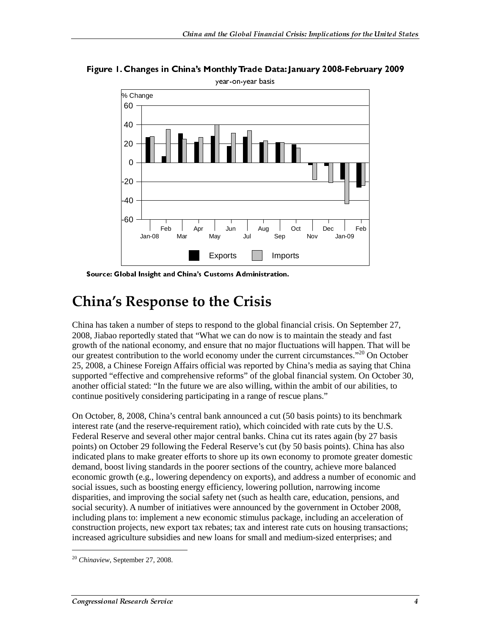

Figure 1. Changes in China's Monthly Trade Data: January 2008-February 2009

Source: Global Insight and China's Customs Administration.

### **China's Response to the Crisis**

China has taken a number of steps to respond to the global financial crisis. On September 27, 2008, Jiabao reportedly stated that "What we can do now is to maintain the steady and fast growth of the national economy, and ensure that no major fluctuations will happen. That will be our greatest contribution to the world economy under the current circumstances."<sup>20</sup> On October 25, 2008, a Chinese Foreign Affairs official was reported by China's media as saying that China supported "effective and comprehensive reforms" of the global financial system. On October 30, another official stated: "In the future we are also willing, within the ambit of our abilities, to continue positively considering participating in a range of rescue plans."

On October, 8, 2008, China's central bank announced a cut (50 basis points) to its benchmark interest rate (and the reserve-requirement ratio), which coincided with rate cuts by the U.S. Federal Reserve and several other major central banks. China cut its rates again (by 27 basis points) on October 29 following the Federal Reserve's cut (by 50 basis points). China has also indicated plans to make greater efforts to shore up its own economy to promote greater domestic demand, boost living standards in the poorer sections of the country, achieve more balanced economic growth (e.g., lowering dependency on exports), and address a number of economic and social issues, such as boosting energy efficiency, lowering pollution, narrowing income disparities, and improving the social safety net (such as health care, education, pensions, and social security). A number of initiatives were announced by the government in October 2008, including plans to: implement a new economic stimulus package, including an acceleration of construction projects, new export tax rebates; tax and interest rate cuts on housing transactions; increased agriculture subsidies and new loans for small and medium-sized enterprises; and

j

<sup>20</sup> *Chinaview*, September 27, 2008.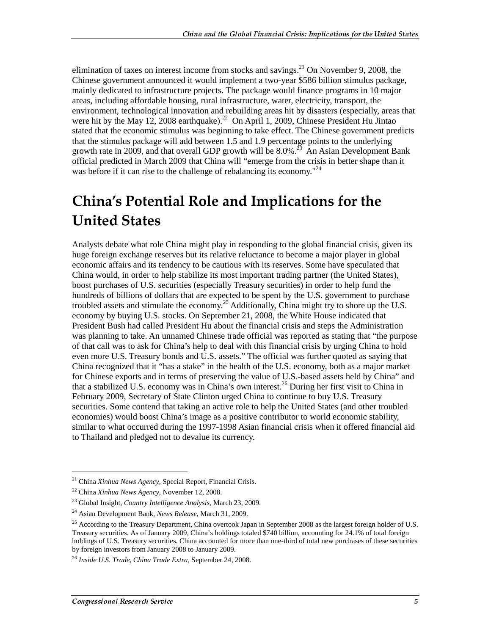elimination of taxes on interest income from stocks and savings.<sup>21</sup> On November 9, 2008, the Chinese government announced it would implement a two-year \$586 billion stimulus package, mainly dedicated to infrastructure projects. The package would finance programs in 10 major areas, including affordable housing, rural infrastructure, water, electricity, transport, the environment, technological innovation and rebuilding areas hit by disasters (especially, areas that were hit by the May 12, 2008 earthquake).<sup>22</sup> On April 1, 2009, Chinese President Hu Jintao stated that the economic stimulus was beginning to take effect. The Chinese government predicts that the stimulus package will add between 1.5 and 1.9 percentage points to the underlying growth rate in 2009, and that overall GDP growth will be  $8.0\%$ <sup>23</sup> An Asian Development Bank official predicted in March 2009 that China will "emerge from the crisis in better shape than it was before if it can rise to the challenge of rebalancing its economy.<sup>"24</sup>

## **China's Potential Role and Implications for the United States**

Analysts debate what role China might play in responding to the global financial crisis, given its huge foreign exchange reserves but its relative reluctance to become a major player in global economic affairs and its tendency to be cautious with its reserves. Some have speculated that China would, in order to help stabilize its most important trading partner (the United States), boost purchases of U.S. securities (especially Treasury securities) in order to help fund the hundreds of billions of dollars that are expected to be spent by the U.S. government to purchase troubled assets and stimulate the economy.25 Additionally, China might try to shore up the U.S. economy by buying U.S. stocks. On September 21, 2008, the White House indicated that President Bush had called President Hu about the financial crisis and steps the Administration was planning to take. An unnamed Chinese trade official was reported as stating that "the purpose of that call was to ask for China's help to deal with this financial crisis by urging China to hold even more U.S. Treasury bonds and U.S. assets." The official was further quoted as saying that China recognized that it "has a stake" in the health of the U.S. economy, both as a major market for Chinese exports and in terms of preserving the value of U.S.-based assets held by China" and that a stabilized U.S. economy was in China's own interest.26 During her first visit to China in February 2009, Secretary of State Clinton urged China to continue to buy U.S. Treasury securities. Some contend that taking an active role to help the United States (and other troubled economies) would boost China's image as a positive contributor to world economic stability, similar to what occurred during the 1997-1998 Asian financial crisis when it offered financial aid to Thailand and pledged not to devalue its currency.

<sup>21</sup> China *Xinhua News Agency*, Special Report, Financial Crisis.

<sup>22</sup> China *Xinhua News Agency*, November 12, 2008.

<sup>23</sup> Global Insight*, Country Intelligence Analysis*, March 23, 2009.

<sup>24</sup> Asian Development Bank*, News Release*, March 31, 2009.

<sup>&</sup>lt;sup>25</sup> According to the Treasury Department, China overtook Japan in September 2008 as the largest foreign holder of U.S. Treasury securities. As of January 2009, China's holdings totaled \$740 billion, accounting for 24.1% of total foreign holdings of U.S. Treasury securities. China accounted for more than one-third of total new purchases of these securities by foreign investors from January 2008 to January 2009.

<sup>26</sup> *Inside U.S. Trade, China Trade Extra*, September 24, 2008.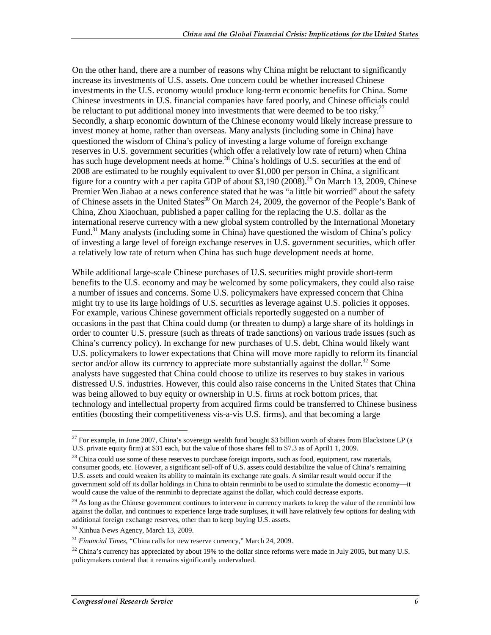On the other hand, there are a number of reasons why China might be reluctant to significantly increase its investments of U.S. assets. One concern could be whether increased Chinese investments in the U.S. economy would produce long-term economic benefits for China. Some Chinese investments in U.S. financial companies have fared poorly, and Chinese officials could be reluctant to put additional money into investments that were deemed to be too risky.<sup>27</sup> Secondly, a sharp economic downturn of the Chinese economy would likely increase pressure to invest money at home, rather than overseas. Many analysts (including some in China) have questioned the wisdom of China's policy of investing a large volume of foreign exchange reserves in U.S. government securities (which offer a relatively low rate of return) when China has such huge development needs at home.<sup>28</sup> China's holdings of U.S. securities at the end of 2008 are estimated to be roughly equivalent to over \$1,000 per person in China, a significant figure for a country with a per capita GDP of about \$3,190  $(2008)^{29}$  On March 13, 2009, Chinese Premier Wen Jiabao at a news conference stated that he was "a little bit worried" about the safety of Chinese assets in the United States<sup>30</sup> On March 24, 2009, the governor of the People's Bank of China, Zhou Xiaochuan, published a paper calling for the replacing the U.S. dollar as the international reserve currency with a new global system controlled by the International Monetary Fund.<sup>31</sup> Many analysts (including some in China) have questioned the wisdom of China's policy of investing a large level of foreign exchange reserves in U.S. government securities, which offer a relatively low rate of return when China has such huge development needs at home.

While additional large-scale Chinese purchases of U.S. securities might provide short-term benefits to the U.S. economy and may be welcomed by some policymakers, they could also raise a number of issues and concerns. Some U.S. policymakers have expressed concern that China might try to use its large holdings of U.S. securities as leverage against U.S. policies it opposes. For example, various Chinese government officials reportedly suggested on a number of occasions in the past that China could dump (or threaten to dump) a large share of its holdings in order to counter U.S. pressure (such as threats of trade sanctions) on various trade issues (such as China's currency policy). In exchange for new purchases of U.S. debt, China would likely want U.S. policymakers to lower expectations that China will move more rapidly to reform its financial sector and/or allow its currency to appreciate more substantially against the dollar.<sup>32</sup> Some analysts have suggested that China could choose to utilize its reserves to buy stakes in various distressed U.S. industries. However, this could also raise concerns in the United States that China was being allowed to buy equity or ownership in U.S. firms at rock bottom prices, that technology and intellectual property from acquired firms could be transferred to Chinese business entities (boosting their competitiveness vis-a-vis U.S. firms), and that becoming a large

<sup>&</sup>lt;sup>27</sup> For example, in June 2007, China's sovereign wealth fund bought \$3 billion worth of shares from Blackstone LP (a U.S. private equity firm) at \$31 each, but the value of those shares fell to \$7.3 as of April1 1, 2009.

 $^{28}$  China could use some of these reserves to purchase foreign imports, such as food, equipment, raw materials, consumer goods, etc. However, a significant sell-off of U.S. assets could destabilize the value of China's remaining U.S. assets and could weaken its ability to maintain its exchange rate goals. A similar result would occur if the government sold off its dollar holdings in China to obtain renminbi to be used to stimulate the domestic economy—it would cause the value of the renminbi to depreciate against the dollar, which could decrease exports.

 $^{29}$  As long as the Chinese government continues to intervene in currency markets to keep the value of the renminbi low against the dollar, and continues to experience large trade surpluses, it will have relatively few options for dealing with additional foreign exchange reserves, other than to keep buying U.S. assets.

<sup>&</sup>lt;sup>30</sup> Xinhua News Agency, March 13, 2009.

<sup>31</sup> *Financial Times*, "China calls for new reserve currency," March 24, 2009.

 $32$  China's currency has appreciated by about 19% to the dollar since reforms were made in July 2005, but many U.S. policymakers contend that it remains significantly undervalued.